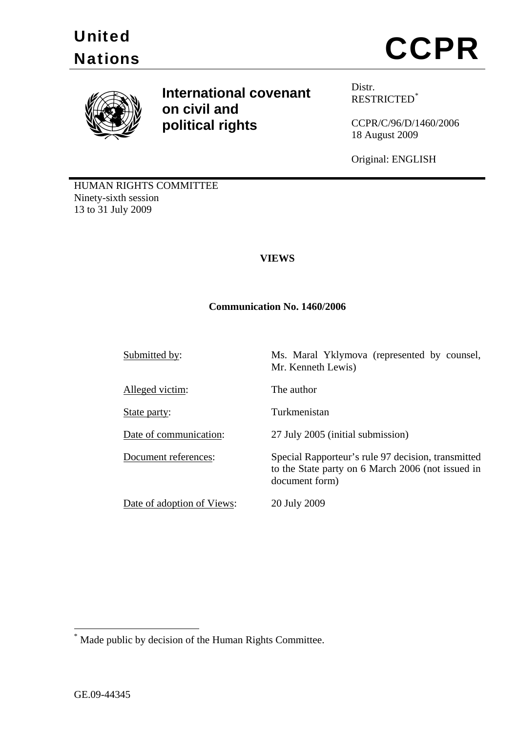



**International covenant Distr. on civil and political rights**

RESTRICTED[\\*](#page-0-0)

CCPR/C/96/D/1460/2006 18 August 2009

Original: ENGLISH

HUMAN RIGHTS COMMITTEE Ninety-sixth session 13 to 31 July 2009

# **VIEWS**

### **Communication No. 1460/2006**

Submitted by: Ms. Maral Yklymova (represented by counsel,

Alleged victim: The author

Date of adoption of Views: 20 July 2009

Mr. Kenneth Lewis)

State party: Turkmenistan

Date of communication: 27 July 2005 (initial submission)

Document references: Special Rapporteur's rule 97 decision, transmitted to the State party on 6 March 2006 (not issued in document form)

1

<span id="page-0-0"></span><sup>\*</sup> Made public by decision of the Human Rights Committee.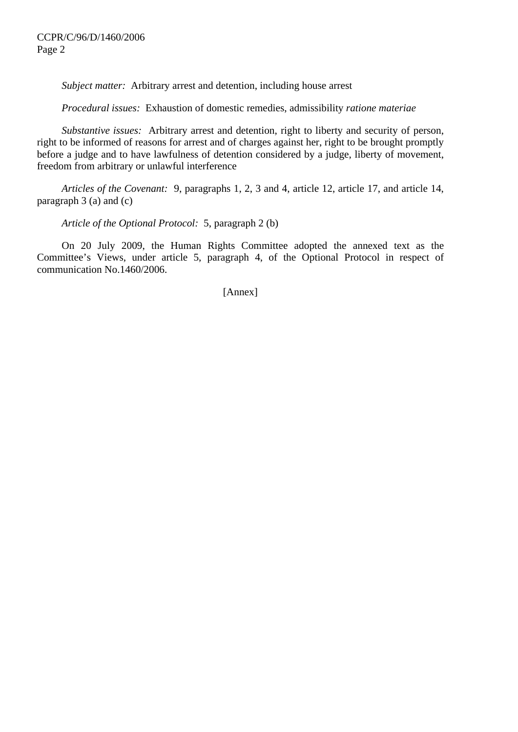*Subject matter:* Arbitrary arrest and detention, including house arrest

 *Procedural issues:* Exhaustion of domestic remedies, admissibility *ratione materiae*

 *Substantive issues:* Arbitrary arrest and detention, right to liberty and security of person, right to be informed of reasons for arrest and of charges against her, right to be brought promptly before a judge and to have lawfulness of detention considered by a judge, liberty of movement, freedom from arbitrary or unlawful interference

 *Articles of the Covenant:* 9, paragraphs 1, 2, 3 and 4, article 12, article 17, and article 14, paragraph 3 (a) and (c)

 *Article of the Optional Protocol:* 5, paragraph 2 (b)

 On 20 July 2009, the Human Rights Committee adopted the annexed text as the Committee's Views, under article 5, paragraph 4, of the Optional Protocol in respect of communication No.1460/2006.

[Annex]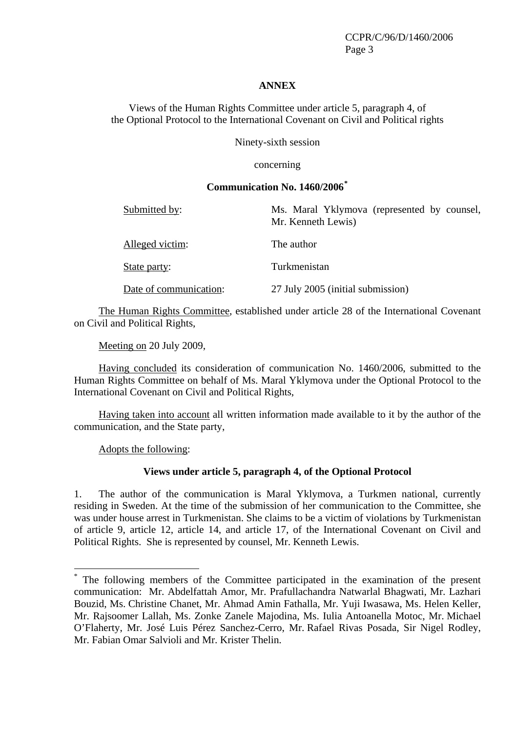CCPR/C/96/D/1460/2006 Page 3

#### **ANNEX**

Views of the Human Rights Committee under article 5, paragraph 4, of the Optional Protocol to the International Covenant on Civil and Political rights

Ninety-sixth session

concerning

### **Communication No. 1460/2006[\\*](#page-2-0)**

| Submitted by:          | Ms. Maral Yklymova (represented by counsel,<br>Mr. Kenneth Lewis) |
|------------------------|-------------------------------------------------------------------|
| Alleged victim:        | The author                                                        |
| State party:           | Turkmenistan                                                      |
| Date of communication: | 27 July 2005 (initial submission)                                 |

The Human Rights Committee, established under article 28 of the International Covenant on Civil and Political Rights,

Meeting on 20 July 2009,

Having concluded its consideration of communication No. 1460/2006, submitted to the Human Rights Committee on behalf of Ms. Maral Yklymova under the Optional Protocol to the International Covenant on Civil and Political Rights,

Having taken into account all written information made available to it by the author of the communication, and the State party,

Adopts the following:

<u>.</u>

#### **Views under article 5, paragraph 4, of the Optional Protocol**

1. The author of the communication is Maral Yklymova, a Turkmen national, currently residing in Sweden. At the time of the submission of her communication to the Committee, she was under house arrest in Turkmenistan. She claims to be a victim of violations by Turkmenistan of article 9, article 12, article 14, and article 17, of the International Covenant on Civil and Political Rights. She is represented by counsel, Mr. Kenneth Lewis.

<span id="page-2-0"></span><sup>\*</sup> The following members of the Committee participated in the examination of the present communication: Mr. Abdelfattah Amor, Mr. Prafullachandra Natwarlal Bhagwati, Mr. Lazhari Bouzid, Ms. Christine Chanet, Mr. Ahmad Amin Fathalla, Mr. Yuji Iwasawa, Ms. Helen Keller, Mr. Rajsoomer Lallah, Ms. Zonke Zanele Majodina, Ms. Iulia Antoanella Motoc, Mr. Michael O'Flaherty, Mr. José Luis Pérez Sanchez-Cerro, Mr. Rafael Rivas Posada, Sir Nigel Rodley, Mr. Fabian Omar Salvioli and Mr. Krister Thelin.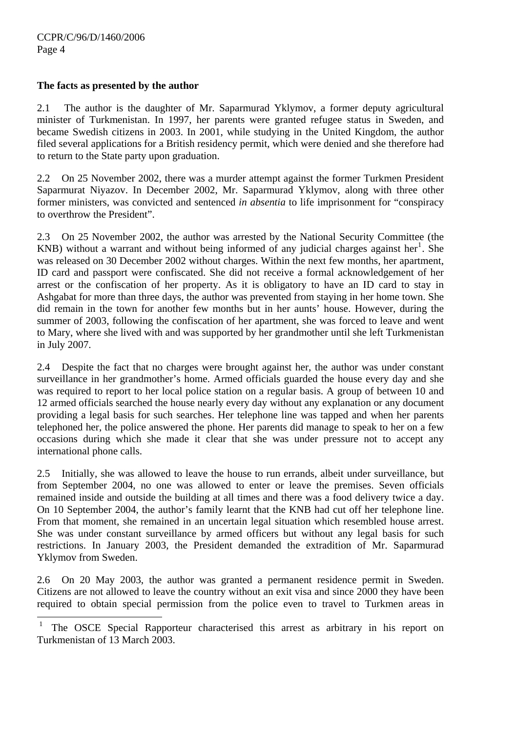$\overline{a}$ 

# **The facts as presented by the author**

2.1 The author is the daughter of Mr. Saparmurad Yklymov, a former deputy agricultural minister of Turkmenistan. In 1997, her parents were granted refugee status in Sweden, and became Swedish citizens in 2003. In 2001, while studying in the United Kingdom, the author filed several applications for a British residency permit, which were denied and she therefore had to return to the State party upon graduation.

2.2 On 25 November 2002, there was a murder attempt against the former Turkmen President Saparmurat Niyazov. In December 2002, Mr. Saparmurad Yklymov, along with three other former ministers, was convicted and sentenced *in absentia* to life imprisonment for "conspiracy to overthrow the President".

2.3 On 25 November 2002, the author was arrested by the National Security Committee (the KNB) without a warrant and without being informed of any judicial charges against her<sup>[1](#page-3-0)</sup>. She was released on 30 December 2002 without charges. Within the next few months, her apartment, ID card and passport were confiscated. She did not receive a formal acknowledgement of her arrest or the confiscation of her property. As it is obligatory to have an ID card to stay in Ashgabat for more than three days, the author was prevented from staying in her home town. She did remain in the town for another few months but in her aunts' house. However, during the summer of 2003, following the confiscation of her apartment, she was forced to leave and went to Mary, where she lived with and was supported by her grandmother until she left Turkmenistan in July 2007.

2.4 Despite the fact that no charges were brought against her, the author was under constant surveillance in her grandmother's home. Armed officials guarded the house every day and she was required to report to her local police station on a regular basis. A group of between 10 and 12 armed officials searched the house nearly every day without any explanation or any document providing a legal basis for such searches. Her telephone line was tapped and when her parents telephoned her, the police answered the phone. Her parents did manage to speak to her on a few occasions during which she made it clear that she was under pressure not to accept any international phone calls.

2.5 Initially, she was allowed to leave the house to run errands, albeit under surveillance, but from September 2004, no one was allowed to enter or leave the premises. Seven officials remained inside and outside the building at all times and there was a food delivery twice a day. On 10 September 2004, the author's family learnt that the KNB had cut off her telephone line. From that moment, she remained in an uncertain legal situation which resembled house arrest. She was under constant surveillance by armed officers but without any legal basis for such restrictions. In January 2003, the President demanded the extradition of Mr. Saparmurad Yklymov from Sweden.

2.6 On 20 May 2003, the author was granted a permanent residence permit in Sweden. Citizens are not allowed to leave the country without an exit visa and since 2000 they have been required to obtain special permission from the police even to travel to Turkmen areas in

<span id="page-3-0"></span>The OSCE Special Rapporteur characterised this arrest as arbitrary in his report on Turkmenistan of 13 March 2003.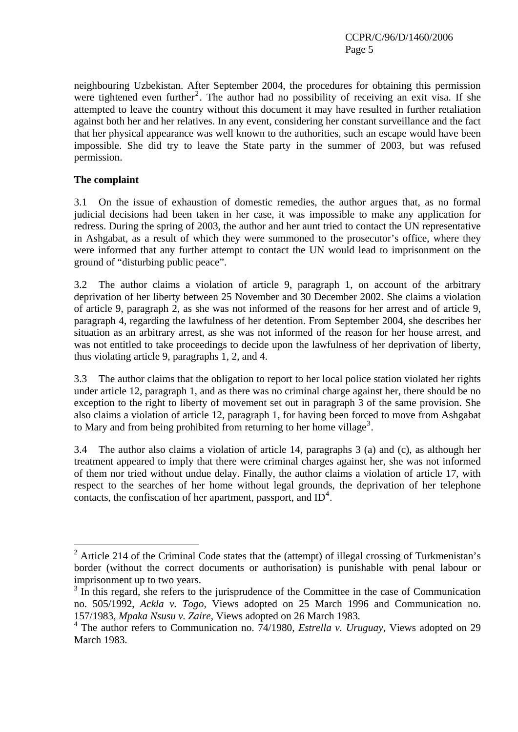neighbouring Uzbekistan. After September 2004, the procedures for obtaining this permission were tightened even further<sup>[2](#page-4-0)</sup>. The author had no possibility of receiving an exit visa. If she attempted to leave the country without this document it may have resulted in further retaliation against both her and her relatives. In any event, considering her constant surveillance and the fact that her physical appearance was well known to the authorities, such an escape would have been impossible. She did try to leave the State party in the summer of 2003, but was refused permission.

### **The complaint**

1

3.1 On the issue of exhaustion of domestic remedies, the author argues that, as no formal judicial decisions had been taken in her case, it was impossible to make any application for redress. During the spring of 2003, the author and her aunt tried to contact the UN representative in Ashgabat, as a result of which they were summoned to the prosecutor's office, where they were informed that any further attempt to contact the UN would lead to imprisonment on the ground of "disturbing public peace".

3.2 The author claims a violation of article 9, paragraph 1, on account of the arbitrary deprivation of her liberty between 25 November and 30 December 2002. She claims a violation of article 9, paragraph 2, as she was not informed of the reasons for her arrest and of article 9, paragraph 4, regarding the lawfulness of her detention. From September 2004, she describes her situation as an arbitrary arrest, as she was not informed of the reason for her house arrest, and was not entitled to take proceedings to decide upon the lawfulness of her deprivation of liberty, thus violating article 9, paragraphs 1, 2, and 4.

3.3 The author claims that the obligation to report to her local police station violated her rights under article 12, paragraph 1, and as there was no criminal charge against her, there should be no exception to the right to liberty of movement set out in paragraph 3 of the same provision. She also claims a violation of article 12, paragraph 1, for having been forced to move from Ashgabat to Mary and from being prohibited from returning to her home village<sup>[3](#page-4-1)</sup>.

3.4 The author also claims a violation of article 14, paragraphs 3 (a) and (c), as although her treatment appeared to imply that there were criminal charges against her, she was not informed of them nor tried without undue delay. Finally, the author claims a violation of article 17, with respect to the searches of her home without legal grounds, the deprivation of her telephone contacts, the confiscation of her apartment, passport, and  $ID<sup>4</sup>$  $ID<sup>4</sup>$  $ID<sup>4</sup>$ .

<span id="page-4-0"></span><sup>&</sup>lt;sup>2</sup> Article 214 of the Criminal Code states that the (attempt) of illegal crossing of Turkmenistan's border (without the correct documents or authorisation) is punishable with penal labour or imprisonment up to two years.

<span id="page-4-1"></span><sup>&</sup>lt;sup>3</sup> In this regard, she refers to the jurisprudence of the Committee in the case of Communication no. 505/1992, *Ackla v. Togo,* Views adopted on 25 March 1996 and Communication no. 157/1983, *Mpaka Nsusu v. Zaire*, Views adopted on 26 March 1983.

<span id="page-4-2"></span><sup>&</sup>lt;sup>4</sup> The author refers to Communication no. 74/1980, *Estrella v. Uruguay*, Views adopted on 29 March 1983.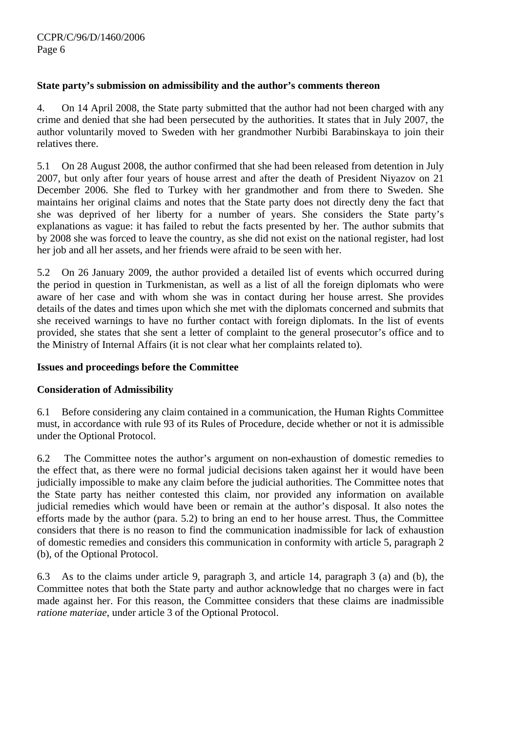# **State party's submission on admissibility and the author's comments thereon**

4. On 14 April 2008, the State party submitted that the author had not been charged with any crime and denied that she had been persecuted by the authorities. It states that in July 2007, the author voluntarily moved to Sweden with her grandmother Nurbibi Barabinskaya to join their relatives there.

5.1 On 28 August 2008, the author confirmed that she had been released from detention in July 2007, but only after four years of house arrest and after the death of President Niyazov on 21 December 2006. She fled to Turkey with her grandmother and from there to Sweden. She maintains her original claims and notes that the State party does not directly deny the fact that she was deprived of her liberty for a number of years. She considers the State party's explanations as vague: it has failed to rebut the facts presented by her. The author submits that by 2008 she was forced to leave the country, as she did not exist on the national register, had lost her job and all her assets, and her friends were afraid to be seen with her.

5.2 On 26 January 2009, the author provided a detailed list of events which occurred during the period in question in Turkmenistan, as well as a list of all the foreign diplomats who were aware of her case and with whom she was in contact during her house arrest. She provides details of the dates and times upon which she met with the diplomats concerned and submits that she received warnings to have no further contact with foreign diplomats. In the list of events provided, she states that she sent a letter of complaint to the general prosecutor's office and to the Ministry of Internal Affairs (it is not clear what her complaints related to).

#### **Issues and proceedings before the Committee**

# **Consideration of Admissibility**

6.1 Before considering any claim contained in a communication, the Human Rights Committee must, in accordance with rule 93 of its Rules of Procedure, decide whether or not it is admissible under the Optional Protocol.

6.2 The Committee notes the author's argument on non-exhaustion of domestic remedies to the effect that, as there were no formal judicial decisions taken against her it would have been judicially impossible to make any claim before the judicial authorities. The Committee notes that the State party has neither contested this claim, nor provided any information on available judicial remedies which would have been or remain at the author's disposal. It also notes the efforts made by the author (para. 5.2) to bring an end to her house arrest. Thus, the Committee considers that there is no reason to find the communication inadmissible for lack of exhaustion of domestic remedies and considers this communication in conformity with article 5, paragraph 2 (b), of the Optional Protocol.

6.3 As to the claims under article 9, paragraph 3, and article 14, paragraph 3 (a) and (b), the Committee notes that both the State party and author acknowledge that no charges were in fact made against her. For this reason, the Committee considers that these claims are inadmissible *ratione materiae*, under article 3 of the Optional Protocol.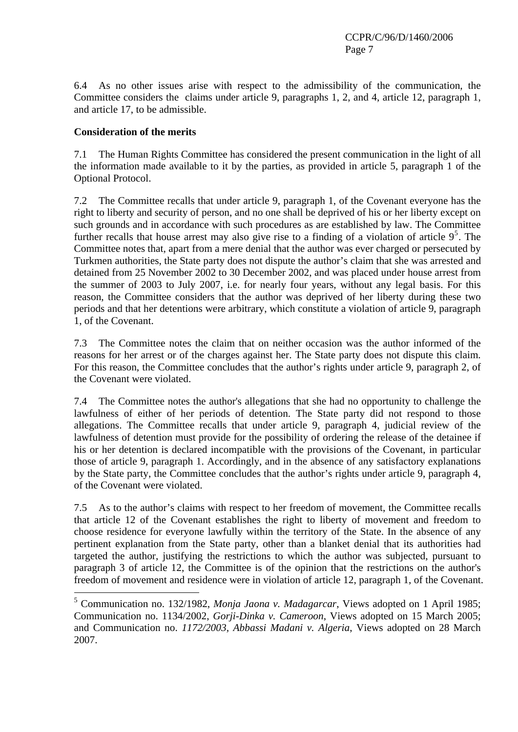6.4 As no other issues arise with respect to the admissibility of the communication, the Committee considers the claims under article 9, paragraphs 1, 2, and 4, article 12, paragraph 1, and article 17, to be admissible.

# **Consideration of the merits**

1

7.1 The Human Rights Committee has considered the present communication in the light of all the information made available to it by the parties, as provided in article 5, paragraph 1 of the Optional Protocol.

7.2 The Committee recalls that under article 9, paragraph 1, of the Covenant everyone has the right to liberty and security of person, and no one shall be deprived of his or her liberty except on such grounds and in accordance with such procedures as are established by law. The Committee further recalls that house arrest may also give rise to a finding of a violation of article  $9<sup>5</sup>$  $9<sup>5</sup>$  $9<sup>5</sup>$ . The Committee notes that, apart from a mere denial that the author was ever charged or persecuted by Turkmen authorities, the State party does not dispute the author's claim that she was arrested and detained from 25 November 2002 to 30 December 2002, and was placed under house arrest from the summer of 2003 to July 2007, i.e. for nearly four years, without any legal basis. For this reason, the Committee considers that the author was deprived of her liberty during these two periods and that her detentions were arbitrary, which constitute a violation of article 9, paragraph 1, of the Covenant.

7.3 The Committee notes the claim that on neither occasion was the author informed of the reasons for her arrest or of the charges against her. The State party does not dispute this claim. For this reason, the Committee concludes that the author's rights under article 9, paragraph 2, of the Covenant were violated.

7.4 The Committee notes the author's allegations that she had no opportunity to challenge the lawfulness of either of her periods of detention. The State party did not respond to those allegations. The Committee recalls that under article 9, paragraph 4, judicial review of the lawfulness of detention must provide for the possibility of ordering the release of the detainee if his or her detention is declared incompatible with the provisions of the Covenant, in particular those of article 9, paragraph 1. Accordingly, and in the absence of any satisfactory explanations by the State party, the Committee concludes that the author's rights under article 9, paragraph 4, of the Covenant were violated.

7.5 As to the author's claims with respect to her freedom of movement, the Committee recalls that article 12 of the Covenant establishes the right to liberty of movement and freedom to choose residence for everyone lawfully within the territory of the State. In the absence of any pertinent explanation from the State party, other than a blanket denial that its authorities had targeted the author, justifying the restrictions to which the author was subjected, pursuant to paragraph 3 of article 12, the Committee is of the opinion that the restrictions on the author's freedom of movement and residence were in violation of article 12, paragraph 1, of the Covenant.

<span id="page-6-0"></span><sup>5</sup> Communication no. 132/1982, *Monja Jaona v. Madagarcar*, Views adopted on 1 April 1985; Communication no. 1134/2002, *Gorji-Dinka v. Cameroon*, Views adopted on 15 March 2005; and Communication no. *1172/2003, Abbassi Madani v. Algeria*, Views adopted on 28 March 2007.